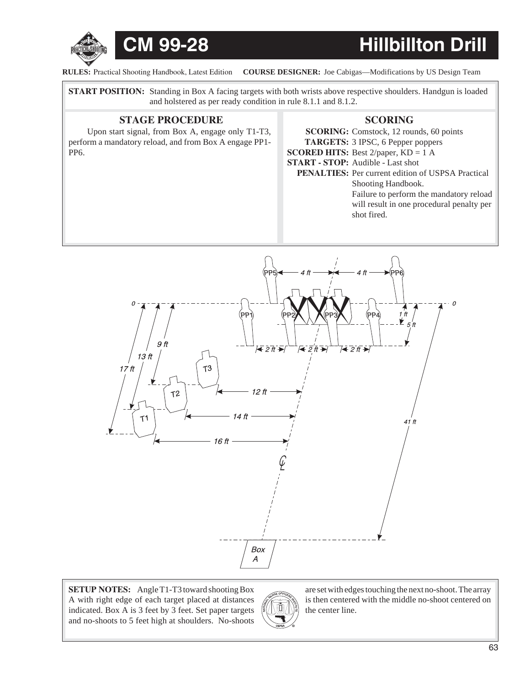

**RULES:** Practical Shooting Handbook, Latest Edition COURSE DESIGNER: Joe Cabigas—Modifications by US Design Team

**START POSITION:** Standing in Box A facing targets with both wrists above respective shoulders. Handgun is loaded and holstered as per ready condition in rule 8.1.1 and 8.1.2.

## **STAGE PROCEDURE SCORING**

Upon start signal, from Box A, engage only T1-T3, perform a mandatory reload, and from Box A engage PP1- PP6.

**SCORING:** Comstock, 12 rounds, 60 points **TARGETS:** 3 IPSC, 6 Pepper poppers **SCORED HITS:** Best 2/paper, KD = 1 A **START - STOP:** Audible - Last shot PENALTIES: Per current edition of USPSA Practical Shooting Handbook. Failure to perform the mandatory reload will result in one procedural penalty per shot fired.



**SETUP NOTES:** Angle T1-T3 toward shooting Box A with right edge of each target placed at distances indicated. Box A is 3 feet by 3 feet. Set paper targets and no-shoots to 5 feet high at shoulders. No-shoots



are set with edges touching the next no-shoot. The array is then centered with the middle no-shoot centered on the center line.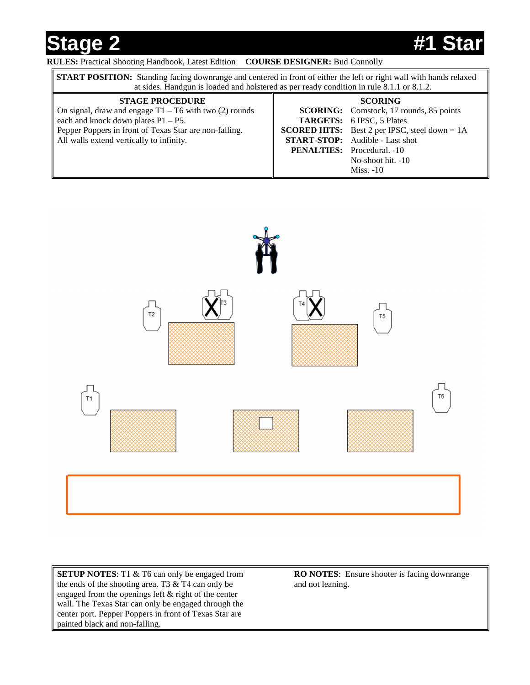# **Stage 2 #1 Star**

### **RULES:** Practical Shooting Handbook, Latest Edition **COURSE DESIGNER:** Bud Connolly

| <b>START POSITION:</b> Standing facing downrange and centered in front of either the left or right wall with hands relaxed<br>at sides. Handgun is loaded and holstered as per ready condition in rule 8.1.1 or 8.1.2.             |  |                                                                                                                                                                                                                                                                                   |  |
|------------------------------------------------------------------------------------------------------------------------------------------------------------------------------------------------------------------------------------|--|-----------------------------------------------------------------------------------------------------------------------------------------------------------------------------------------------------------------------------------------------------------------------------------|--|
| <b>STAGE PROCEDURE</b><br>On signal, draw and engage $T1 - T6$ with two (2) rounds<br>each and knock down plates $P1 - P5$ .<br>Pepper Poppers in front of Texas Star are non-falling.<br>All walls extend vertically to infinity. |  | <b>SCORING</b><br><b>SCORING:</b> Comstock, 17 rounds, 85 points<br><b>TARGETS:</b> 6 IPSC, 5 Plates<br><b>SCORED HITS:</b> Best 2 per IPSC, steel down = $1A$<br><b>START-STOP:</b> Audible - Last shot<br><b>PENALTIES:</b> Procedural. -10<br>No-shoot hit. -10<br>$Miss. -10$ |  |



**SETUP NOTES**: T1 & T6 can only be engaged from the ends of the shooting area. T3 & T4 can only be engaged from the openings left & right of the center wall. The Texas Star can only be engaged through the center port. Pepper Poppers in front of Texas Star are painted black and non-falling.

**RO NOTES**: Ensure shooter is facing downrange and not leaning.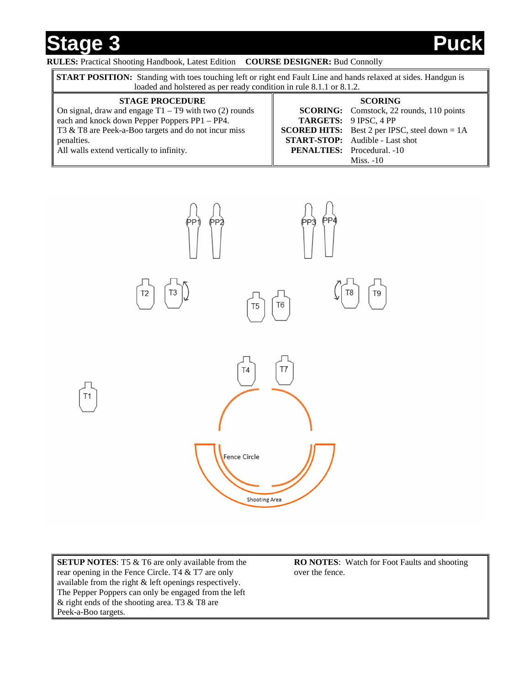**Stage 3 Puckage 3** 

### **RULES:** Practical Shooting Handbook, Latest Edition **COURSE DESIGNER:** Bud Connolly

| <b>START POSITION:</b> Standing with toes touching left or right end Fault Line and hands relaxed at sides. Handgun is<br>loaded and holstered as per ready condition in rule 8.1.1 or 8.1.2. |  |                                                        |  |
|-----------------------------------------------------------------------------------------------------------------------------------------------------------------------------------------------|--|--------------------------------------------------------|--|
| <b>STAGE PROCEDURE</b>                                                                                                                                                                        |  | <b>SCORING</b>                                         |  |
| On signal, draw and engage $T1 - T9$ with two (2) rounds                                                                                                                                      |  | <b>SCORING:</b> Comstock, 22 rounds, 110 points        |  |
| each and knock down Pepper Poppers PP1 - PP4.                                                                                                                                                 |  | TARGETS: 9 IPSC, 4 PP                                  |  |
| T3 & T8 are Peek-a-Boo targets and do not incur miss                                                                                                                                          |  | <b>SCORED HITS:</b> Best 2 per IPSC, steel down = $1A$ |  |
| penalties.                                                                                                                                                                                    |  | <b>START-STOP:</b> Audible - Last shot                 |  |
| All walls extend vertically to infinity.                                                                                                                                                      |  | <b>PENALTIES:</b> Procedural. -10                      |  |
|                                                                                                                                                                                               |  | $Miss. -10$                                            |  |



**SETUP NOTES:** T5 & T6 are only available from the rear opening in the Fence Circle. T4 & T7 are only available from the right & left openings respectively. The Pepper Poppers can only be engaged from the left & right ends of the shooting area. T3 & T8 are Peek-a-Boo targets.

**RO NOTES**: Watch for Foot Faults and shooting over the fence.